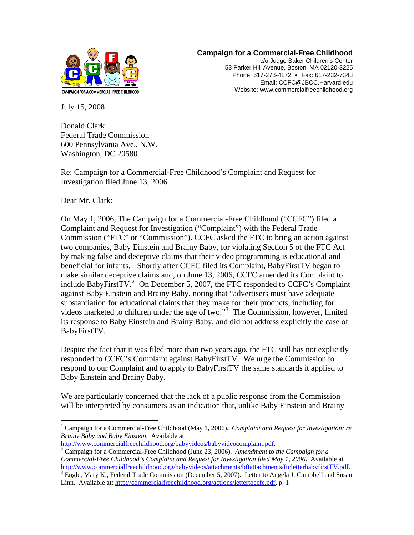

## **Campaign for a Commercial-Free Childhood**

c/o Judge Baker Children's Center 53 Parker Hill Avenue, Boston, MA 02120-3225 Phone: 617-278-4172 • Fax: 617-232-7343 Email: CCFC@JBCC.Harvard.edu Website: www.commercialfreechildhood.org

July 15, 2008

Donald Clark Federal Trade Commission 600 Pennsylvania Ave., N.W. Washington, DC 20580

Re: Campaign for a Commercial-Free Childhood's Complaint and Request for Investigation filed June 13, 2006.

Dear Mr. Clark:

 $\overline{a}$ 

On May 1, 2006, The Campaign for a Commercial-Free Childhood ("CCFC") filed a Complaint and Request for Investigation ("Complaint") with the Federal Trade Commission ("FTC" or "Commission"). CCFC asked the FTC to bring an action against two companies, Baby Einstein and Brainy Baby, for violating Section 5 of the FTC Act by making false and deceptive claims that their video programming is educational and beneficial for infants.<sup>[1](#page-0-0)</sup> Shortly after CCFC filed its Complaint, BabyFirstTV began to make similar deceptive claims and, on June 13, 2006, CCFC amended its Complaint to include BabyFirstTV.<sup>[2](#page-0-1)</sup> On December 5, 2007, the FTC responded to CCFC's Complaint against Baby Einstein and Brainy Baby, noting that "advertisers must have adequate substantiation for educational claims that they make for their products, including for videos marketed to children under the age of two."[3](#page-0-2) The Commission, however, limited its response to Baby Einstein and Brainy Baby, and did not address explicitly the case of BabyFirstTV.

Despite the fact that it was filed more than two years ago, the FTC still has not explicitly responded to CCFC's Complaint against BabyFirstTV. We urge the Commission to respond to our Complaint and to apply to BabyFirstTV the same standards it applied to Baby Einstein and Brainy Baby.

We are particularly concerned that the lack of a public response from the Commission will be interpreted by consumers as an indication that, unlike Baby Einstein and Brainy

<span id="page-0-0"></span><sup>&</sup>lt;sup>1</sup> Campaign for a Commercial-Free Childhood (May 1, 2006). *Complaint and Request for Investigation: re Brainy Baby and Baby Einstein*. Available at

<http://www.commercialfreechildhood.org/babyvideos/babyvideocomplaint.pdf>. [2](http://www.commercialfreechildhood.org/babyvideos/babyvideocomplaint.pdf)

<span id="page-0-1"></span>Campaign for a Commercial-Free Childhood (June 23, 2006). *Amendment to the Campaign for a Commercial-Free Childhood's Complaint and Request for Investigation filed May 1, 2006*. Available at [http://www.commercialfreechildhood.org/babyvideos/attachments/bftattachments/ftcletterbabyfirstTV.pdf.](http://www.commercialfreechildhood.org/babyvideos/attachments/bftattachments/ftcletterbabyfirstTV.pdf) [3](http://www.commercialfreechildhood.org/babyvideos/attachments/bftattachments/ftcletterbabyfirstTV.pdf)

<span id="page-0-2"></span> $\frac{1}{3}$  Engle, Mary K., Federal Trade Commission (December 5, 2007). Letter to Angela J. Campbell and Susan Linn*.* Available at:<http://commercialfreechildhood.org/actions/lettertoccfc.pdf>, p. 1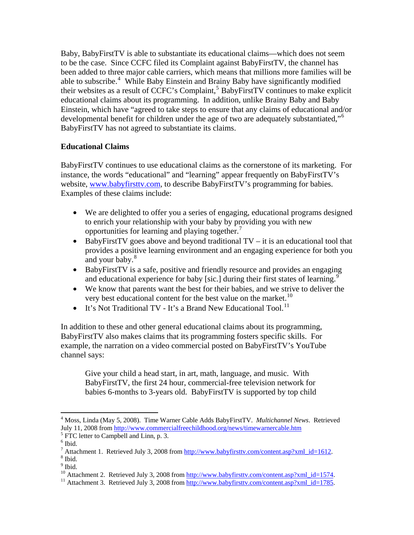Baby, BabyFirstTV is able to substantiate its educational claims—which does not seem to be the case. Since CCFC filed its Complaint against BabyFirstTV, the channel has been added to three major cable carriers, which means that millions more families will be able to subscribe.<sup>[4](#page-1-0)</sup> While Baby Einstein and Brainy Baby have significantly modified their websites as a result of CCFC's Complaint,<sup>[5](#page-1-1)</sup> BabyFirstTV continues to make explicit educational claims about its programming. In addition, unlike Brainy Baby and Baby Einstein, which have "agreed to take steps to ensure that any claims of educational and/or developmental benefit for children under the age of two are adequately substantiated,"<sup>[6](#page-1-2)</sup> BabyFirstTV has not agreed to substantiate its claims.

## **Educational Claims**

BabyFirstTV continues to use educational claims as the cornerstone of its marketing. For instance, the words "educational" and "learning" appear frequently on BabyFirstTV's website, [www.babyfirsttv.com](http://www.babyfirsttv.com/), to describe BabyFirstTV's programming for babies. Examples of these claims include:

- We are delighted to offer you a series of engaging, educational programs designed to enrich your relationship with your baby by providing you with new opportunities for learning and playing together.
- BabyFirstTV goes above and beyond traditional  $TV it$  is an educational tool that provides a positive learning environment and an engaging experience for both you and your baby.<sup>[8](#page-1-4)</sup>
- BabyFirstTV is a safe, positive and friendly resource and provides an engaging and educational experience for baby [sic.] during their first states of learning.<sup>[9](#page-1-5)</sup>
- We know that parents want the best for their babies, and we strive to deliver the very best educational content for the best value on the market.<sup>[10](#page-1-6)</sup>
- It's Not Traditional TV It's a Brand New Educational Tool.<sup>[11](#page-1-7)</sup>

In addition to these and other general educational claims about its programming, BabyFirstTV also makes claims that its programming fosters specific skills. For example, the narration on a video commercial posted on BabyFirstTV's YouTube channel says:

Give your child a head start, in art, math, language, and music. With BabyFirstTV, the first 24 hour, commercial-free television network for babies 6-months to 3-years old. BabyFirstTV is supported by top child

 $\overline{a}$ 

<span id="page-1-0"></span><sup>4</sup> Moss, Linda (May 5, 2008). Time Warner Cable Adds BabyFirstTV. *Multichannel News*. Retrieved July 11, 2008 from <http://www.commercialfreechildhood.org/news/timewarnercable.htm> 5

<span id="page-1-2"></span><span id="page-1-1"></span> $<sup>5</sup>$  FTC letter to Campbell and Linn, p. 3.</sup>

 $<sup>6</sup>$  Ibid.</sup>

<span id="page-1-4"></span><span id="page-1-3"></span><sup>&</sup>lt;sup>7</sup> Attachment 1. Retrieved July 3, 2008 from  $\frac{http://www.babyfirsttv.com/content.asp?xml_id=1612.8}{http://www.babyfirsttv.com/content.asp?xml_id=1612.8}$  $^8$  Ibid.  $\,$ 

<sup>&</sup>lt;sup>9</sup> Ibid.

<span id="page-1-7"></span><span id="page-1-6"></span><span id="page-1-5"></span><sup>&</sup>lt;sup>10</sup> Attachment 2. Retrieved July 3, 2008 from [http://www.babyfirsttv.com/content.asp?xml\\_id=1574](http://www.babyfirsttv.com/content.asp?xml_id=1574).<br><sup>11</sup> Attachment 3. Retrieved July 3, 2008 from [http://www.babyfirsttv.com/content.asp?xml\\_id=1785](http://www.babyfirsttv.com/content.asp?xml_id=1785).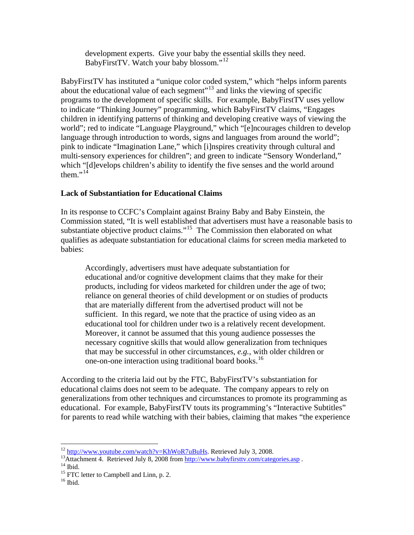development experts. Give your baby the essential skills they need. BabyFirstTV. Watch your baby blossom."[12](#page-2-0)

BabyFirstTV has instituted a "unique color coded system," which "helps inform parents about the educational value of each segment"<sup>[13](#page-2-1)</sup> and links the viewing of specific programs to the development of specific skills. For example, BabyFirstTV uses yellow to indicate "Thinking Journey" programming, which BabyFirstTV claims, "Engages children in identifying patterns of thinking and developing creative ways of viewing the world"; red to indicate "Language Playground," which "[e]ncourages children to develop language through introduction to words, signs and languages from around the world"; pink to indicate "Imagination Lane," which [i]nspires creativity through cultural and multi-sensory experiences for children"; and green to indicate "Sensory Wonderland," which "[d]evelops children's ability to identify the five senses and the world around them." $14$ 

## **Lack of Substantiation for Educational Claims**

In its response to CCFC's Complaint against Brainy Baby and Baby Einstein, the Commission stated, "It is well established that advertisers must have a reasonable basis to substantiate objective product claims."<sup>[15](#page-2-3)</sup> The Commission then elaborated on what qualifies as adequate substantiation for educational claims for screen media marketed to babies:

Accordingly, advertisers must have adequate substantiation for educational and/or cognitive development claims that they make for their products, including for videos marketed for children under the age of two; reliance on general theories of child development or on studies of products that are materially different from the advertised product will not be sufficient. In this regard, we note that the practice of using video as an educational tool for children under two is a relatively recent development. Moreover, it cannot be assumed that this young audience possesses the necessary cognitive skills that would allow generalization from techniques that may be successful in other circumstances, *e.g.*, with older children or one-on-one interaction using traditional board books.<sup>[16](#page-2-4)</sup>

According to the criteria laid out by the FTC, BabyFirstTV's substantiation for educational claims does not seem to be adequate. The company appears to rely on generalizations from other techniques and circumstances to promote its programming as educational. For example, BabyFirstTV touts its programming's "Interactive Subtitles" for parents to read while watching with their babies, claiming that makes "the experience

<span id="page-2-0"></span><sup>&</sup>lt;sup>12</sup> http://www.youtube.com/watch?v=KhWoR7uBuHs. Retrieved July 3, 2008.

<span id="page-2-1"></span><sup>&</sup>lt;sup>13</sup> Attachment 4. Retrieved July 8, 2008 from<http://www.babyfirsttv.com/categories.asp>  $14$  Ibid.

<span id="page-2-3"></span><span id="page-2-2"></span> $15$  FTC letter to Campbell and Linn, p. 2.

<span id="page-2-4"></span> $16$  Ibid.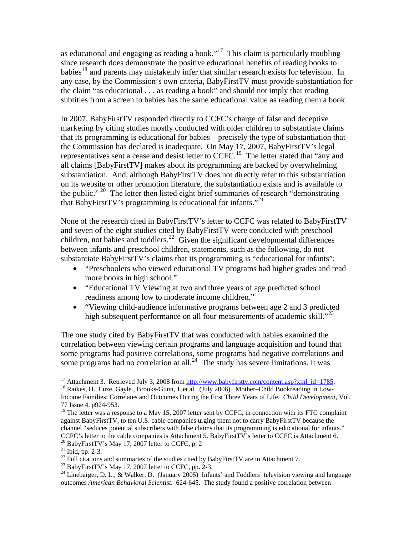as educational and engaging as reading a book."[17](#page-3-0) This claim is particularly troubling since research does demonstrate the positive educational benefits of reading books to babies<sup>[18](#page-3-1)</sup> and parents may mistakenly infer that similar research exists for television. In any case, by the Commission's own criteria, BabyFirstTV must provide substantiation for the claim "as educational . . . as reading a book" and should not imply that reading subtitles from a screen to babies has the same educational value as reading them a book.

In 2007, BabyFirstTV responded directly to CCFC's charge of false and deceptive marketing by citing studies mostly conducted with older children to substantiate claims that its programming is educational for babies – precisely the type of substantiation that the Commission has declared is inadequate. On May 17, 2007, BabyFirstTV's legal representatives sent a cease and desist letter to CCFC.<sup>[19](#page-3-2)</sup> The letter stated that "any and all claims [BabyFirstTV] makes about its programming are backed by overwhelming substantiation. And, although BabyFirstTV does not directly refer to this substantiation on its website or other promotion literature, the substantiation exists and is available to the public."<sup>[20](#page-3-3)</sup> The letter then listed eight brief summaries of research "demonstrating that BabyFirstTV's programming is educational for infants. $12^{21}$  $12^{21}$  $12^{21}$ 

None of the research cited in BabyFirstTV's letter to CCFC was related to BabyFirstTV and seven of the eight studies cited by BabyFirstTV were conducted with preschool children, not babies and toddlers.<sup>[22](#page-3-5)</sup> Given the significant developmental differences between infants and preschool children, statements, such as the following, do not substantiate BabyFirstTV's claims that its programming is "educational for infants":

- "Preschoolers who viewed educational TV programs had higher grades and read more books in high school."
- "Educational TV Viewing at two and three years of age predicted school readiness among low to moderate income children."
- "Viewing child-audience informative programs between age 2 and 3 predicted high subsequent performance on all four measurements of academic skill."<sup>[23](#page-3-6)</sup>

The one study cited by BabyFirstTV that was conducted with babies examined the correlation between viewing certain programs and language acquisition and found that some programs had positive correlations, some programs had negative correlations and some programs had no correlation at all.<sup>[24](#page-3-7)</sup> The study has severe limitations. It was

 $\overline{a}$ 

<span id="page-3-6"></span><span id="page-3-5"></span> $23$  BabyFirstTV's May 17, 2007 letter to CCFC, pp. 2-3.

<span id="page-3-0"></span><sup>&</sup>lt;sup>17</sup> Attachment 3. Retrieved July 3, 2008 from  $\frac{http://www.babyfirsttv.com/content-asp?xml_id=1785}{http://www.babyfirsttv.com/content-asp?xml_id=1785}.$ <sup>18</sup> Raikes, H., Luze, Gayle., Brooks-Gunn, J. et al. (July 2006). Mother–Child Bookreading in Low-

<span id="page-3-1"></span>Income Families: Correlates and Outcomes During the First Three Years of Life. *Child Development*, Vol. 77 Issue 4, p924-953.

<span id="page-3-2"></span> $19$  The letter was a response to a May 15, 2007 letter sent by CCFC, in connection with its FTC complaint against BabyFirstTV, to ten U.S. cable companies urging them not to carry BabyFirstTV because the channel "seduces potential subscribers with false claims that its programming is educational for infants." CCFC's letter to the cable companies is Attachment 5. BabyFirstTV's letter to CCFC is Attachment 6. 20 BabyFirstTV's May 17, 2007 letter to CCFC, p. 2

<span id="page-3-4"></span><span id="page-3-3"></span> $21$  Ibid, pp. 2-3.

 $^{22}$  Full citations and summaries of the studies cited by BabyFirstTV are in Attachment 7.

<span id="page-3-7"></span><sup>&</sup>lt;sup>24</sup> Linebarger, D. L., & Walker, D. (January 2005) Infants' and Toddlers' television viewing and language outcomes *American Behavioral Scientist*. 624-645. The study found a positive correlation between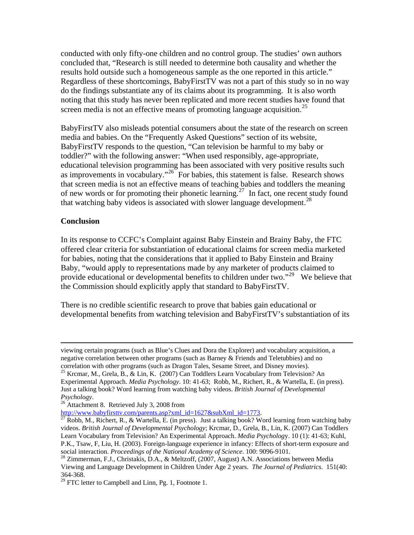conducted with only fifty-one children and no control group. The studies' own authors concluded that, "Research is still needed to determine both causality and whether the results hold outside such a homogeneous sample as the one reported in this article." Regardless of these shortcomings, BabyFirstTV was not a part of this study so in no way do the findings substantiate any of its claims about its programming. It is also worth noting that this study has never been replicated and more recent studies have found that screen media is not an effective means of promoting language acquisition.<sup>[25](#page-4-0)</sup>

BabyFirstTV also misleads potential consumers about the state of the research on screen media and babies. On the "Frequently Asked Questions" section of its website, BabyFirstTV responds to the question, "Can television be harmful to my baby or toddler?" with the following answer: "When used responsibly, age-appropriate, educational television programming has been associated with very positive results such as improvements in vocabulary."[26](#page-4-1) For babies, this statement is false. Research shows that screen media is not an effective means of teaching babies and toddlers the meaning of new words or for promoting their phonetic learning.<sup>[27](#page-4-2)</sup> In fact, one recent study found that watching baby videos is associated with slower language development.<sup>[28](#page-4-3)</sup>

## **Conclusion**

In its response to CCFC's Complaint against Baby Einstein and Brainy Baby, the FTC offered clear criteria for substantiation of educational claims for screen media marketed for babies, noting that the considerations that it applied to Baby Einstein and Brainy Baby, "would apply to representations made by any marketer of products claimed to provide educational or developmental benefits to children under two."<sup>[29](#page-4-4)</sup> We believe that the Commission should explicitly apply that standard to BabyFirstTV.

There is no credible scientific research to prove that babies gain educational or developmental benefits from watching television and BabyFirstTV's substantiation of its

viewing certain programs (such as Blue's Clues and Dora the Explorer) and vocabulary acquisition, a negative correlation between other programs (such as Barney & Friends and Teletubbies) and no correlation with other programs (such as Dragon Tales, Sesame Street, and Disney movies).<br><sup>25</sup> Krcmar, M., Grela, B., & Lin, K. (2007) Can Toddlers Learn Vocabulary from Television? An

<span id="page-4-0"></span>Experimental Approach. *Media Psychology*. 10: 41-63; Robb, M., Richert, R., & Wartella, E. (in press). Just a talking book? Word learning from watching baby videos. *British Journal of Developmental Psychology*. 26 Attachment 8. Retrieved July 3, 2008 from

<span id="page-4-2"></span><span id="page-4-1"></span>[http://www.babyfirsttv.com/parents.asp?xml\\_id=1627&subXml\\_id=1773.](http://www.babyfirsttv.com/parents.asp?xml_id=1627&subXml_id=1773)<br><sup>[27](http://www.babyfirsttv.com/parents.asp?xml_id=1627&subXml_id=1773)</sup> Robb, M., Richert, R., & Wartella, E. (in press). Just a talking book? Word learning from watching baby videos. *British Journal of Developmental Psychology*; Krcmar, D., Grela, B., Lin, K. (2007) Can Toddlers Learn Vocabulary from Television? An Experimental Approach. *Media Psycholog*y. 10 (1): 41-63; Kuhl, P.K., Tsaw, F, Liu, H. (2003). Foreign-language experience in infancy: Effects of short-term exposure and social interaction. *Proceedings of the National Academy of Science*. 100: 9096-9101. 28 Zimmerman, F.J., Christakis, D.A., & Meltzoff, (2007, August) A.N. Associations between Media

<span id="page-4-3"></span>Viewing and Language Development in Children Under Age 2 years. *The Journal of Pediatrics*. 151(40: 364-368.

<span id="page-4-4"></span><sup>&</sup>lt;sup>29</sup> FTC letter to Campbell and Linn, Pg. 1, Footnote 1.